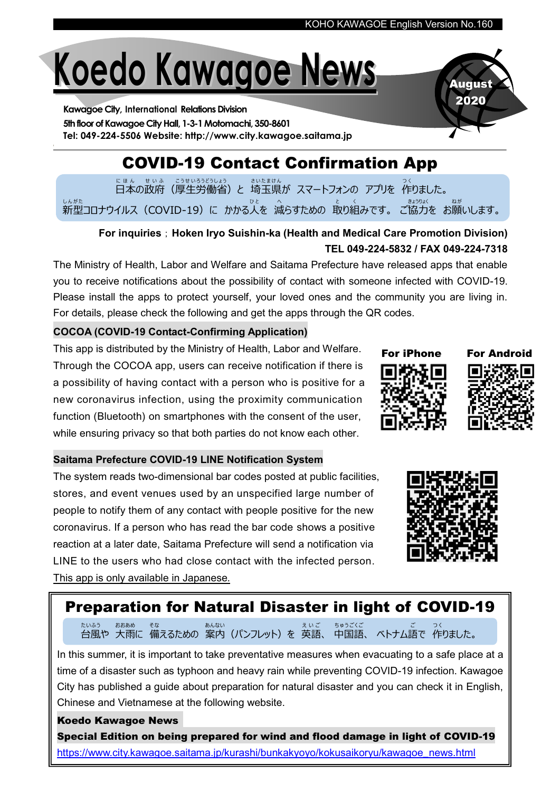# Koedo Kawagoe News

Kawagoe City, International Relations Division 5th floor of Kawagoe City Hall, 1-3-1 Motomachi, 350-8601 Tel: 049-224-5506 Website: http://www.city.kawagoe.saitama.jp

## COVID-19 Contact Confirmation App

日本 に ほ ん の政府 せ い ふ (厚生 こ う せ い 労働省 ろ う ど う し ょ う )と 埼玉 さ い た ま 県 け ん が スマートフォンの アプリを 作 つ く りました。 しんがた<br>新型コロナウイルス(COVID-19)に かかる人を 減らすための 取り組みです。 ご協力を お願いします。

### For inquiries; Hoken Iryo Suishin-ka (Health and Medical Care Promotion Division) TEL 049-224-5832 / FAX 049-224-7318

The Ministry of Health, Labor and Welfare and Saitama Prefecture have released apps that enable you to receive notifications about the possibility of contact with someone infected with COVID-19. Please install the apps to protect yourself, your loved ones and the community you are living in. For details, please check the following and get the apps through the QR codes.

#### COCOA (COVID-19 Contact-Confirming Application)

This app is distributed by the Ministry of Health, Labor and Welfare. Through the COCOA app, users can receive notification if there is a possibility of having contact with a person who is positive for a new coronavirus infection, using the proximity communication function (Bluetooth) on smartphones with the consent of the user, while ensuring privacy so that both parties do not know each other.

#### Saitama Prefecture COVID-19 LINE Notification System

The system reads two-dimensional bar codes posted at public facilities, stores, and event venues used by an unspecified large number of people to notify them of any contact with people positive for the new coronavirus. If a person who has read the bar code shows a positive reaction at a later date, Saitama Prefecture will send a notification via LINE to the users who had close contact with the infected person. This app is only available in Japanese.

## Preparation for Natural Disaster in light of COVID-19

台風や 大雨に 備えるための 案内(パンフレット)を 英語、 中国語、 ベトナム語で 作りました。 たいふう おおあめ そな あんない え い ご ちゅうごくご ご つ く

In this summer, it is important to take preventative measures when evacuating to a safe place at a time of a disaster such as typhoon and heavy rain while preventing COVID-19 infection. Kawagoe City has published a guide about preparation for natural disaster and you can check it in English, Chinese and Vietnamese at the following website.

Koedo Kawagoe News Special Edition on being prepared for wind and flood damage in light of COVID-19 [https://www.city.kawagoe.saitama.jp/kurashi/bunkakyoyo/kokusaikoryu/kawagoe\\_news.html](https://www.city.kawagoe.saitama.jp/kurashi/bunkakyoyo/kokusaikoryu/kawagoe_news.html)